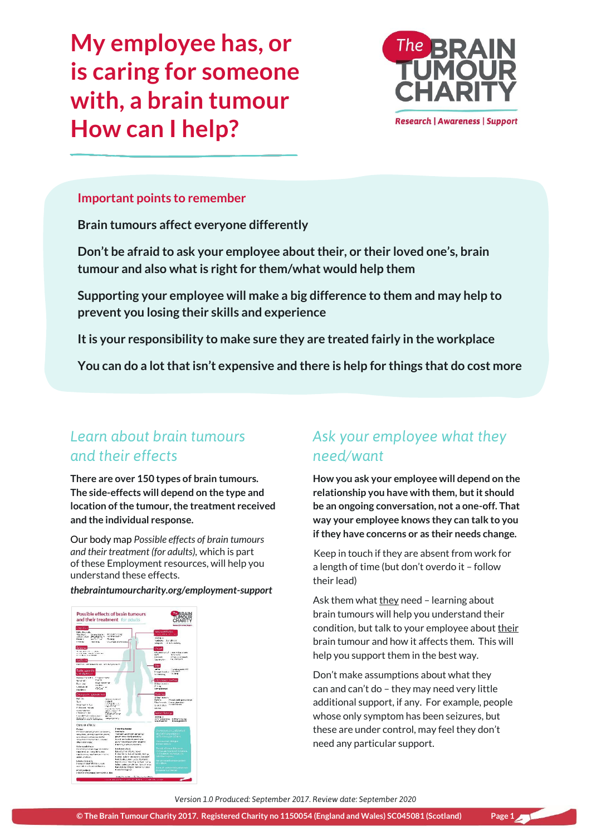**My employee has, or is caring for someone with, a brain tumour How can I help?**



### **Important points to remember**

**Brain tumours affect everyone differently**

**Don't be afraid to ask your employee about their, or their loved one's, brain tumour and also what is right for them/what would help them**

**Supporting your employee will make a big difference to them and may help to prevent you losing their skills and experience**

**It is your responsibility to make sure they are treated fairly in the workplace**

**You can do a lot that isn't expensive and there is help for things that do cost more**

## *Learn about brain tumours and their effects*

**There are over 150 types of brain tumours. The side-effects will depend on the type and location of the tumour, the treatment received and the individual response.** 

Our body map *Possible effects of brain tumours and their treatment (for adults),* which is part of these Employment resources, will help you understand these effects.

#### *[thebraintumourcharity.org/employment-support](http://www.thebraintumourcharity.org/employment-support)*



# *Ask your employee what they need/want*

**How you ask your employee will depend on the relationship you have with them, but it should be an ongoing conversation, not a one-off. That way your employee knows they can talk to you if they have concerns or as their needs change.**

Keep in touch if they are absent from work for a length of time (but don't overdo it – follow their lead)

Ask them what  $they need - learning about$ </u> brain tumours will help you understand their condition, but talk to your employee about their brain tumour and how it affects them. This will help you support them in the best way.

Don't make assumptions about what they can and can't do – they may need very little additional support, if any. For example, people whose only symptom has been seizures, but these are under control, may feel they don't need any particular support.

*Version 1.0 Produced: September 2017. Review date: September 2020*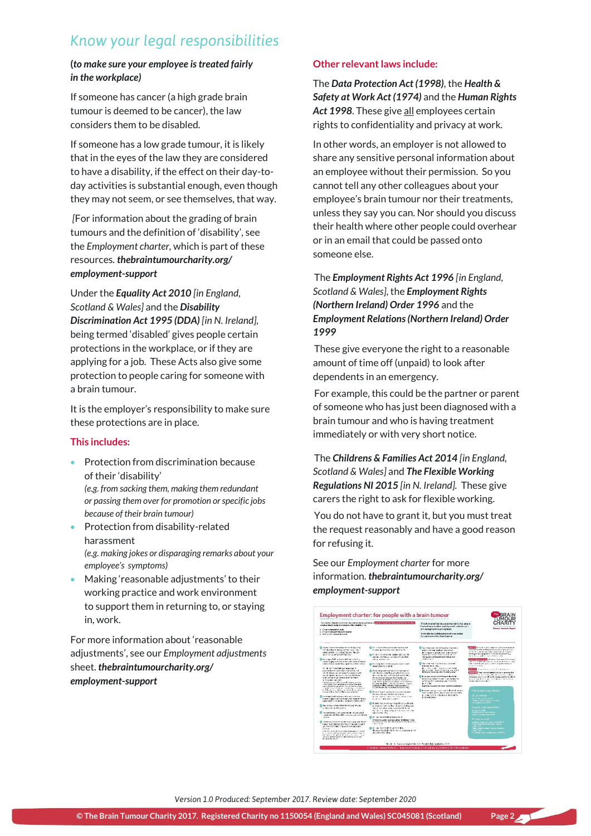# *Know your legal responsibilities*

#### **(***to make sure your employee is treated fairly in the workplace)*

If someone has cancer (a high grade brain tumour is deemed to be cancer), the law considers them to be disabled.

If someone has a low grade tumour, it is likely that in the eyes of the law they are considered to have a disability, if the effect on their day-today activities is substantial enough, even though they may not seem, or see themselves, that way.

*[*For information about the grading of brain tumours and the definition of 'disability', see the *Employment charter,* which is part of these resources*. [thebraintumourcharity.org/](http://www.thebraintumourcharity.org/employment-support) [employment-support](http://www.thebraintumourcharity.org/employment-support)*

Under the *[Equality Act 2010](https://www.gov.uk/guidance/equality-act-2010-guidance) [in England, Scotland & Wales]* and the *[Disability](https://www.nidirect.gov.uk/articles/disabled-peoples-rights-everyday-life#toc-1)  [Discrimination Act 1995 \(DDA\)](https://www.nidirect.gov.uk/articles/disabled-peoples-rights-everyday-life#toc-1) [in N. Ireland],*  being termed 'disabled' gives people certain protections in the workplace, or if they are applying for a job. These Acts also give some protection to people caring for someone with a brain tumour.

It is the employer's responsibility to make sure these protections are in place.

### **This includes:**

- **•** Protection from discrimination because of their 'disability' *(e.g. from sacking them, making them redundant or passing them over for promotion or specific jobs because of their brain tumour)*
- Protection from disability-related harassment *(e.g. making jokes or disparaging remarks about your employee's symptoms)*
- Making 'reasonable adjustments' to their working practice and work environment to support them in returning to, or staying in, work.

For more information about 'reasonable adjustments', see our *Employment adjustments*  sheet. *[thebraintumourcharity.org/](http://www.thebraintumourcharity.org/employment-support) [employment-support](http://www.thebraintumourcharity.org/employment-support)*

### **Other relevant laws include:**

The *[Data Protection Act \(1998\)](http://www.legislation.gov.uk/ukpga/1998/29/contents)*, the *[Health &](http://www.healthyworkinglives.com/advice/Legislation-and-policy/Workplace-Health-and-Safety/health-safety-legislation)  [Safety at Work Act \(1974\)](http://www.healthyworkinglives.com/advice/Legislation-and-policy/Workplace-Health-and-Safety/health-safety-legislation)* and the *[Human Rights](http://www.legislation.gov.uk/ukpga/1998/42/contents)  [Act 1998](http://www.legislation.gov.uk/ukpga/1998/42/contents)*. These give all employees certain rights to confidentiality and privacy at work.

In other words, an employer is not allowed to share any sensitive personal information about an employee without their permission. So you cannot tell any other colleagues about your employee's brain tumour nor their treatments, unless they say you can. Nor should you discuss their health where other people could overhear or in an email that could be passed onto someone else.

### The *[Employment Rights Act 1996](http://www.legislation.gov.uk/ukpga/1996/18/contents) [in England, Scotland & Wales]*, the *[Employment Rights](http://www.legislation.gov.uk/nisi/1996/1919/contents)  [\(Northern Ireland\) Order 1996](http://www.legislation.gov.uk/nisi/1996/1919/contents)* and the *[Employment Relations \(Northern Ireland\) Order](http://www.legislation.gov.uk/nisi/1999/2790/article/32/made)  [1999](http://www.legislation.gov.uk/nisi/1999/2790/article/32/made)*

These give everyone the right to a reasonable amount of time off (unpaid) to look after dependents in an emergency.

For example, this could be the partner or parent of someone who has just been diagnosed with a brain tumour and who is having treatment immediately or with very short notice.

The *[Childrens & Families Act 2014](http://www.legislation.gov.uk/ukpga/2014/6/contents/enacted) [in England, Scotland & Wales]* and *[The Flexible Working](http://www.legislation.gov.uk/cy/nisr/2015/105/made)  [Regulations NI 2015](http://www.legislation.gov.uk/cy/nisr/2015/105/made) [in N. Ireland].* These give carers the right to ask for flexible working.

You do not have to grant it, but you must treat the request reasonably and have a good reason for refusing it.

See our *Employment charter* for more information. *[thebraintumourcharity.org/](http://www.thebraintumourcharity.org/employment-support) [employment-support](http://www.thebraintumourcharity.org/employment-support)*



*Version 1.0 Produced: September 2017. Review date: September 2020*